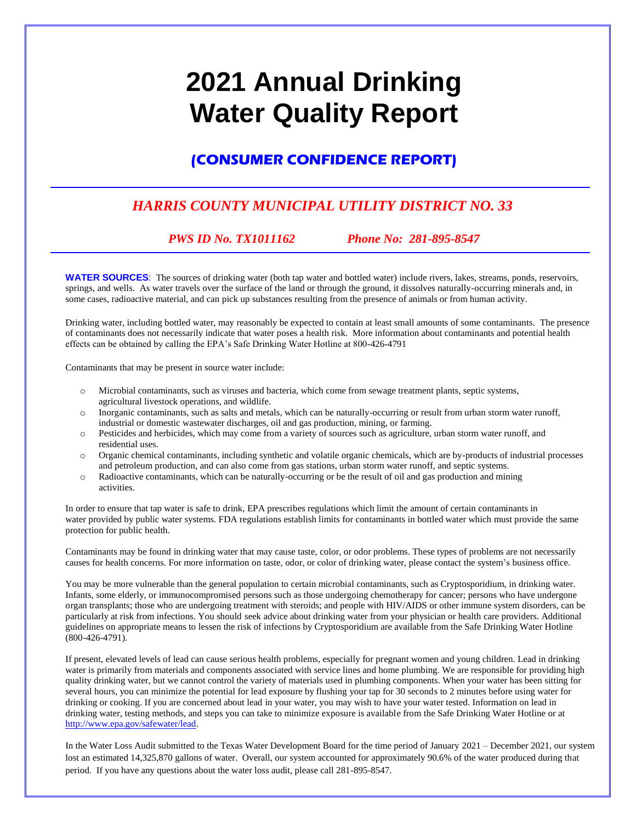# **2021 Annual Drinking Water Quality Report**

## **(CONSUMER CONFIDENCE REPORT)**

## *HARRIS COUNTY MUNICIPAL UTILITY DISTRICT NO. 33*

### *PWS ID No. TX1011162 Phone No: 281-895-8547*

**WATER SOURCES**: The sources of drinking water (both tap water and bottled water) include rivers, lakes, streams, ponds, reservoirs, springs, and wells. As water travels over the surface of the land or through the ground, it dissolves naturally-occurring minerals and, in some cases, radioactive material, and can pick up substances resulting from the presence of animals or from human activity.

Drinking water, including bottled water, may reasonably be expected to contain at least small amounts of some contaminants. The presence of contaminants does not necessarily indicate that water poses a health risk. More information about contaminants and potential health effects can be obtained by calling the EPA's Safe Drinking Water Hotline at 800-426-4791

Contaminants that may be present in source water include:

- o Microbial contaminants, such as viruses and bacteria, which come from sewage treatment plants, septic systems, agricultural livestock operations, and wildlife.
- o Inorganic contaminants, such as salts and metals, which can be naturally-occurring or result from urban storm water runoff, industrial or domestic wastewater discharges, oil and gas production, mining, or farming.
- o Pesticides and herbicides, which may come from a variety of sources such as agriculture, urban storm water runoff, and residential uses.
- o Organic chemical contaminants, including synthetic and volatile organic chemicals, which are by-products of industrial processes and petroleum production, and can also come from gas stations, urban storm water runoff, and septic systems.
- o Radioactive contaminants, which can be naturally-occurring or be the result of oil and gas production and mining activities.

In order to ensure that tap water is safe to drink, EPA prescribes regulations which limit the amount of certain contaminants in water provided by public water systems. FDA regulations establish limits for contaminants in bottled water which must provide the same protection for public health.

Contaminants may be found in drinking water that may cause taste, color, or odor problems. These types of problems are not necessarily causes for health concerns. For more information on taste, odor, or color of drinking water, please contact the system's business office.

You may be more vulnerable than the general population to certain microbial contaminants, such as Cryptosporidium, in drinking water. Infants, some elderly, or immunocompromised persons such as those undergoing chemotherapy for cancer; persons who have undergone organ transplants; those who are undergoing treatment with steroids; and people with HIV/AIDS or other immune system disorders, can be particularly at risk from infections. You should seek advice about drinking water from your physician or health care providers. Additional guidelines on appropriate means to lessen the risk of infections by Cryptosporidium are available from the Safe Drinking Water Hotline (800-426-4791).

If present, elevated levels of lead can cause serious health problems, especially for pregnant women and young children. Lead in drinking water is primarily from materials and components associated with service lines and home plumbing. We are responsible for providing high quality drinking water, but we cannot control the variety of materials used in plumbing components. When your water has been sitting for several hours, you can minimize the potential for lead exposure by flushing your tap for 30 seconds to 2 minutes before using water for drinking or cooking. If you are concerned about lead in your water, you may wish to have your water tested. Information on lead in drinking water, testing methods, and steps you can take to minimize exposure is available from the Safe Drinking Water Hotline or at [http://www.epa.gov/safewater/lead.](http://www.epa.gov/safewater/lead)

In the Water Loss Audit submitted to the Texas Water Development Board for the time period of January 2021 – December 2021, our system lost an estimated 14,325,870 gallons of water. Overall, our system accounted for approximately 90.6% of the water produced during that period. If you have any questions about the water loss audit, please call 281-895-8547.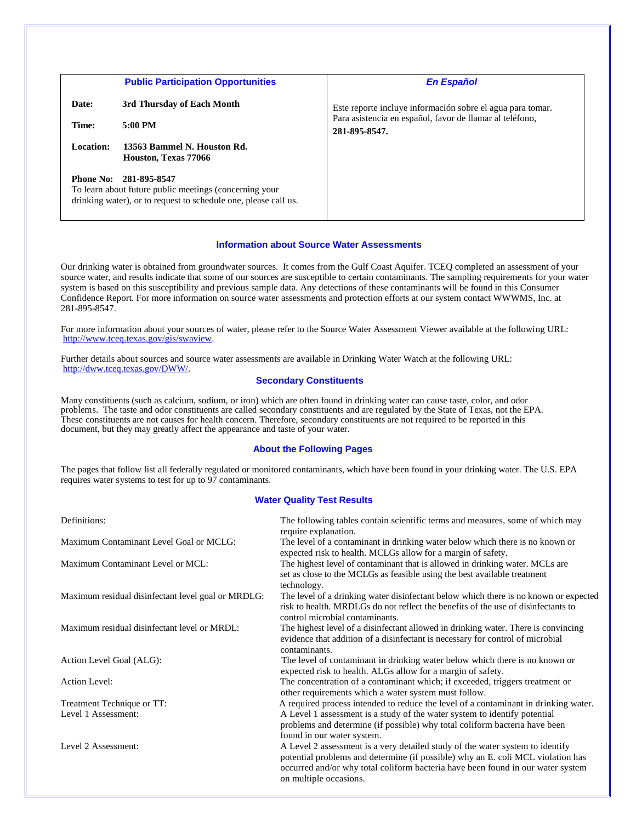|           | <b>Public Participation Opportunities</b>                                                                                                           | <b>En Español</b>                                                         |  |  |  |  |
|-----------|-----------------------------------------------------------------------------------------------------------------------------------------------------|---------------------------------------------------------------------------|--|--|--|--|
| Date:     | 3rd Thursday of Each Month                                                                                                                          | Este reporte incluye información sobre el agua para tomar.                |  |  |  |  |
| Time:     | 5:00 PM                                                                                                                                             | Para asistencia en español, favor de llamar al teléfono,<br>281-895-8547. |  |  |  |  |
| Location: | 13563 Bammel N. Houston Rd.<br>Houston, Texas 77066                                                                                                 |                                                                           |  |  |  |  |
|           | Phone No: 281-895-8547<br>To learn about future public meetings (concerning your<br>drinking water), or to request to schedule one, please call us. |                                                                           |  |  |  |  |

#### **Information about Source Water Assessments**

Our drinking water is obtained from groundwater sources. It comes from the Gulf Coast Aquifer. TCEQ completed an assessment of your source water, and results indicate that some of our sources are susceptible to certain contaminants. The sampling requirements for your water system is based on this susceptibility and previous sample data. Any detections of these contaminants will be found in this Consumer Confidence Report. For more information on source water assessments and protection efforts at our system contact WWWMS, Inc. at 281-895-8547.

For more information about your sources of water, please refer to the Source Water Assessment Viewer available at the following URL: http://www.tceq.texas.gov/gis/swaview.

Further details about sources and source water assessments are available in Drinking Water Watch at the following URL: [http://dww.tceq.texas.gov/DWW/.](http://dww.tceq.texas.gov/DWW/)

#### **Secondary Constituents**

Many constituents (such as calcium, sodium, or iron) which are often found in drinking water can cause taste, color, and odor problems. The taste and odor constituents are called secondary constituents and are regulated by the State of Texas, not the EPA. These constituents are not causes for health concern. Therefore, secondary constituents are not required to be reported in this document, but they may greatly affect the appearance and taste of your water.

#### **About the Following Pages**

The pages that follow list all federally regulated or monitored contaminants, which have been found in your drinking water. The U.S. EPA requires water systems to test for up to 97 contaminants.

#### **Water Quality Test Results**

| Definitions:                                       | The following tables contain scientific terms and measures, some of which may<br>require explanation.                                                                                                                                                                         |
|----------------------------------------------------|-------------------------------------------------------------------------------------------------------------------------------------------------------------------------------------------------------------------------------------------------------------------------------|
| Maximum Contaminant Level Goal or MCLG:            | The level of a contaminant in drinking water below which there is no known or<br>expected risk to health. MCLGs allow for a margin of safety.                                                                                                                                 |
| Maximum Contaminant Level or MCL:                  | The highest level of contaminant that is allowed in drinking water. MCLs are<br>set as close to the MCLGs as feasible using the best available treatment<br>technology.                                                                                                       |
| Maximum residual disinfectant level goal or MRDLG: | The level of a drinking water disinfectant below which there is no known or expected<br>risk to health. MRDLGs do not reflect the benefits of the use of disinfectants to<br>control microbial contaminants.                                                                  |
| Maximum residual disinfectant level or MRDL:       | The highest level of a disinfectant allowed in drinking water. There is convincing<br>evidence that addition of a disinfectant is necessary for control of microbial<br>contaminants.                                                                                         |
| Action Level Goal (ALG):                           | The level of contaminant in drinking water below which there is no known or<br>expected risk to health. ALGs allow for a margin of safety.                                                                                                                                    |
| Action Level:                                      | The concentration of a contaminant which; if exceeded, triggers treatment or<br>other requirements which a water system must follow.                                                                                                                                          |
| Treatment Technique or TT:                         | A required process intended to reduce the level of a contaminant in drinking water.                                                                                                                                                                                           |
| Level 1 Assessment:                                | A Level 1 assessment is a study of the water system to identify potential<br>problems and determine (if possible) why total coliform bacteria have been<br>found in our water system.                                                                                         |
| Level 2 Assessment:                                | A Level 2 assessment is a very detailed study of the water system to identify<br>potential problems and determine (if possible) why an E. coli MCL violation has<br>occurred and/or why total coliform bacteria have been found in our water system<br>on multiple occasions. |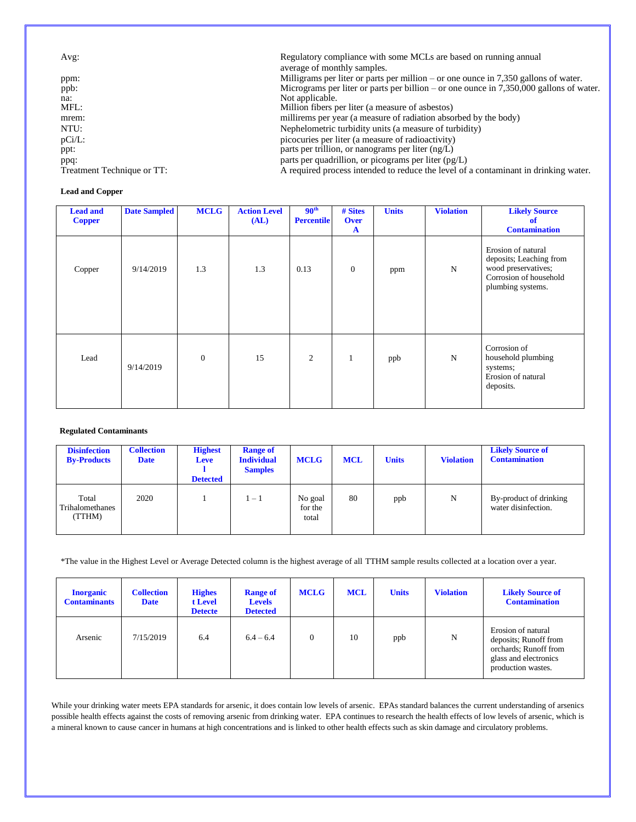| Avg:                       | Regulatory compliance with some MCLs are based on running annual<br>average of monthly samples. |
|----------------------------|-------------------------------------------------------------------------------------------------|
| ppm:                       | Milligrams per liter or parts per million – or one ounce in $7,350$ gallons of water.           |
| ppb:                       | Micrograms per liter or parts per billion – or one ounce in $7,350,000$ gallons of water.       |
| na:                        | Not applicable.                                                                                 |
| MFL:                       | Million fibers per liter (a measure of asbestos)                                                |
| mrem:                      | millirems per year (a measure of radiation absorbed by the body)                                |
| NTU:                       | Nephelometric turbidity units (a measure of turbidity)                                          |
| $pCi/L$ :                  | picocuries per liter (a measure of radioactivity)                                               |
| ppt:                       | parts per trillion, or nanograms per liter $(ng/L)$                                             |
| ppq:                       | parts per quadrillion, or picograms per liter $(pg/L)$                                          |
| Treatment Technique or TT: | A required process intended to reduce the level of a contaminant in drinking water.             |

#### **Lead and Copper**

| <b>Lead and</b><br><b>Copper</b> | <b>Date Sampled</b> | <b>MCLG</b>  | <b>Action Level</b><br>(AL) | 90 <sup>th</sup><br><b>Percentile</b> | # Sites<br><b>Over</b><br>$\mathbf{A}$ | <b>Units</b> | <b>Violation</b> | <b>Likely Source</b><br>of<br><b>Contamination</b>                                                                  |
|----------------------------------|---------------------|--------------|-----------------------------|---------------------------------------|----------------------------------------|--------------|------------------|---------------------------------------------------------------------------------------------------------------------|
| Copper                           | 9/14/2019           | 1.3          | 1.3                         | 0.13                                  | $\overline{0}$                         | ppm          | N                | Erosion of natural<br>deposits; Leaching from<br>wood preservatives;<br>Corrosion of household<br>plumbing systems. |
| Lead                             | 9/14/2019           | $\mathbf{0}$ | 15                          | 2                                     | $\mathbf{1}$                           | ppb          | N                | Corrosion of<br>household plumbing<br>systems;<br>Erosion of natural<br>deposits.                                   |

#### **Regulated Contaminants**

| <b>Disinfection</b><br><b>By-Products</b> | <b>Collection</b><br><b>Date</b> | <b>Highest</b><br>Leve<br><b>Detected</b> | <b>Range of</b><br><b>Individual</b><br><b>Samples</b> | <b>MCLG</b>                 | <b>MCL</b> | <b>Units</b> | <b>Violation</b> | <b>Likely Source of</b><br><b>Contamination</b> |
|-------------------------------------------|----------------------------------|-------------------------------------------|--------------------------------------------------------|-----------------------------|------------|--------------|------------------|-------------------------------------------------|
| Total<br>Trihalomethanes<br>(TTHM)        | 2020                             |                                           | $1-1$                                                  | No goal<br>for the<br>total | 80         | ppb          | N                | By-product of drinking<br>water disinfection.   |

\*The value in the Highest Level or Average Detected column is the highest average of all TTHM sample results collected at a location over a year.

| <b>Inorganic</b><br><b>Contaminants</b> | <b>Collection</b><br><b>Date</b> | <b>Highes</b><br>t Level<br><b>Detecte</b> | <b>Range of</b><br><b>Levels</b><br><b>Detected</b> | <b>MCLG</b> | <b>MCL</b> | <b>Units</b> | <b>Violation</b> | <b>Likely Source of</b><br><b>Contamination</b>                                                                     |
|-----------------------------------------|----------------------------------|--------------------------------------------|-----------------------------------------------------|-------------|------------|--------------|------------------|---------------------------------------------------------------------------------------------------------------------|
| Arsenic                                 | 7/15/2019                        | 6.4                                        | $6.4 - 6.4$                                         | $\theta$    | 10         | ppb          | N                | Erosion of natural<br>deposits; Runoff from<br>orchards; Runoff from<br>glass and electronics<br>production wastes. |

While your drinking water meets EPA standards for arsenic, it does contain low levels of arsenic. EPAs standard balances the current understanding of arsenics possible health effects against the costs of removing arsenic from drinking water. EPA continues to research the health effects of low levels of arsenic, which is a mineral known to cause cancer in humans at high concentrations and is linked to other health effects such as skin damage and circulatory problems.